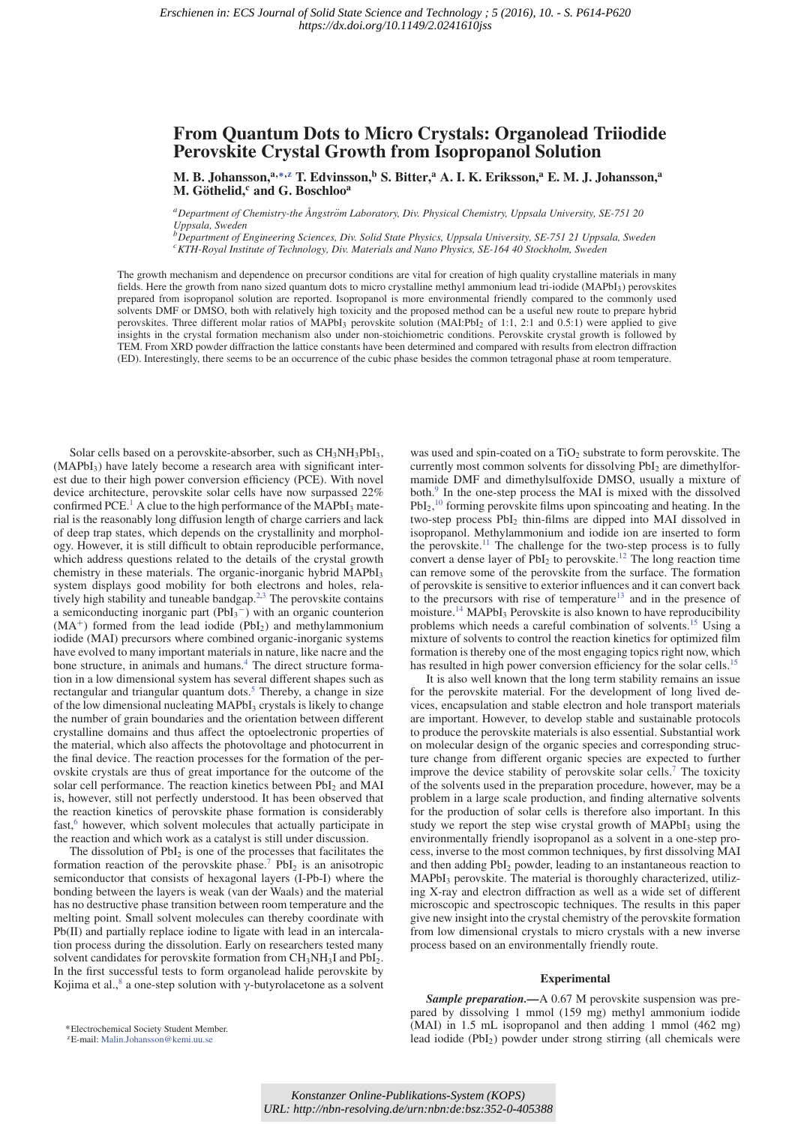# **From Quantum Dots to Micro Crystals: Organolead Triiodide Perovskite Crystal Growth from Isopropanol Solution**

**M. B. Johansson,a,∗,z T. Edvinsson,<sup>b</sup> S. Bitter,<sup>a</sup> A. I. K. Eriksson,<sup>a</sup> E. M. J. Johansson,<sup>a</sup> M. Gothelid, ¨ <sup>c</sup> and G. Boschloo<sup>a</sup>**

*aDepartment of Chemistry-the Ångstrom Laboratory, Div. Physical Chemistry, Uppsala University, SE-751 20 ¨ Uppsala, Sweden*

*bDepartment of Engineering Sciences, Div. Solid State Physics, Uppsala University, SE-751 21 Uppsala, Sweden cKTH-Royal Institute of Technology, Div. Materials and Nano Physics, SE-164 40 Stockholm, Sweden*

The growth mechanism and dependence on precursor conditions are vital for creation of high quality crystalline materials in many fields. Here the growth from nano sized quantum dots to micro crystalline methyl ammonium lead tri-iodide (MAPbI<sub>3</sub>) perovskites prepared from isopropanol solution are reported. Isopropanol is more environmental friendly compared to the commonly used solvents DMF or DMSO, both with relatively high toxicity and the proposed method can be a useful new route to prepare hybrid perovskites. Three different molar ratios of MAPbI3 perovskite solution (MAI:PbI2 of 1:1, 2:1 and 0.5:1) were applied to give insights in the crystal formation mechanism also under non-stoichiometric conditions. Perovskite crystal growth is followed by TEM. From XRD powder diffraction the lattice constants have been determined and compared with results from electron diffraction (ED). Interestingly, there seems to be an occurrence of the cubic phase besides the common tetragonal phase at room temperature.

Solar cells based on a perovskite-absorber, such as  $CH<sub>3</sub>NH<sub>3</sub>PbI<sub>3</sub>$ ,  $(MAPbI<sub>3</sub>)$  have lately become a research area with significant interest due to their high power conversion efficiency (PCE). With novel device architecture, perovskite solar cells have now surpassed 22% confirmed PCE.<sup>1</sup> A clue to the high performance of the MAPbI<sub>3</sub> material is the reasonably long diffusion length of charge carriers and lack of deep trap states, which depends on the crystallinity and morphology. However, it is still difficult to obtain reproducible performance, which address questions related to the details of the crystal growth chemistry in these materials. The organic-inorganic hybrid MAPbI<sub>3</sub> system displays good mobility for both electrons and holes, relatively high stability and tuneable bandgap. $2,3$  The perovskite contains a semiconducting inorganic part  $(PbI<sub>3</sub><sup>-</sup>)$  with an organic counterion  $(MA<sup>+</sup>)$  formed from the lead iodide (PbI<sub>2</sub>) and methylammonium iodide (MAI) precursors where combined organic-inorganic systems have evolved to many important materials in nature, like nacre and the bone structure, in animals and humans.<sup>4</sup> The direct structure formation in a low dimensional system has several different shapes such as rectangular and triangular quantum dots.<sup>5</sup> Thereby, a change in size of the low dimensional nucleating MAPbI<sub>3</sub> crystals is likely to change the number of grain boundaries and the orientation between different crystalline domains and thus affect the optoelectronic properties of the material, which also affects the photovoltage and photocurrent in the final device. The reaction processes for the formation of the perovskite crystals are thus of great importance for the outcome of the solar cell performance. The reaction kinetics between PbI<sub>2</sub> and MAI is, however, still not perfectly understood. It has been observed that the reaction kinetics of perovskite phase formation is considerably fast,<sup>6</sup> however, which solvent molecules that actually participate in the reaction and which work as a catalyst is still under discussion.

The dissolution of  $PbI_2$  is one of the processes that facilitates the formation reaction of the perovskite phase.<sup>7</sup> PbI<sub>2</sub> is an anisotropic semiconductor that consists of hexagonal layers (I-Pb-I) where the bonding between the layers is weak (van der Waals) and the material has no destructive phase transition between room temperature and the melting point. Small solvent molecules can thereby coordinate with Pb(II) and partially replace iodine to ligate with lead in an intercalation process during the dissolution. Early on researchers tested many solvent candidates for perovskite formation from  $CH<sub>3</sub>NH<sub>3</sub>I$  and  $PbI<sub>2</sub>$ . In the first successful tests to form organolead halide perovskite by Kojima et al., $^8$  a one-step solution with γ-butyrolacetone as a solvent

was used and spin-coated on a  $TiO<sub>2</sub>$  substrate to form perovskite. The currently most common solvents for dissolving  $PbI<sub>2</sub>$  are dimethylformamide DMF and dimethylsulfoxide DMSO, usually a mixture of both.<sup>9</sup> In the one-step process the MAI is mixed with the dissolved  $PbI<sub>2</sub>$ ,<sup>10</sup> forming perovskite films upon spincoating and heating. In the two-step process PbI2 thin-films are dipped into MAI dissolved in isopropanol. Methylammonium and iodide ion are inserted to form the perovskite.<sup>11</sup> The challenge for the two-step process is to fully convert a dense layer of  $PbI_2$  to perovskite.<sup>12</sup> The long reaction time can remove some of the perovskite from the surface. The formation of perovskite is sensitive to exterior influences and it can convert back to the precursors with rise of temperature<sup>13</sup> and in the presence of moisture.<sup>14</sup> MAPbI<sub>3</sub> Perovskite is also known to have reproducibility problems which needs a careful combination of solvents.15 Using a mixture of solvents to control the reaction kinetics for optimized film formation is thereby one of the most engaging topics right now, which has resulted in high power conversion efficiency for the solar cells.<sup>15</sup>

It is also well known that the long term stability remains an issue for the perovskite material. For the development of long lived devices, encapsulation and stable electron and hole transport materials are important. However, to develop stable and sustainable protocols to produce the perovskite materials is also essential. Substantial work on molecular design of the organic species and corresponding structure change from different organic species are expected to further improve the device stability of perovskite solar cells.<sup>7</sup> The toxicity of the solvents used in the preparation procedure, however, may be a problem in a large scale production, and finding alternative solvents for the production of solar cells is therefore also important. In this study we report the step wise crystal growth of MAPbI<sub>3</sub> using the environmentally friendly isopropanol as a solvent in a one-step process, inverse to the most common techniques, by first dissolving MAI and then adding PbI<sub>2</sub> powder, leading to an instantaneous reaction to  $MAPbI<sub>3</sub>$  perovskite. The material is thoroughly characterized, utilizing X-ray and electron diffraction as well as a wide set of different microscopic and spectroscopic techniques. The results in this paper give new insight into the crystal chemistry of the perovskite formation from low dimensional crystals to micro crystals with a new inverse process based on an environmentally friendly route.

# **Experimental**

*Sample preparation.—*A 0.67 M perovskite suspension was prepared by dissolving 1 mmol (159 mg) methyl ammonium iodide (MAI) in 1.5 mL isopropanol and then adding 1 mmol (462 mg) lead iodide (PbI2) powder under strong stirring (all chemicals were

<sup>∗</sup>Electrochemical Society Student Member.

zE-mail: Malin.Johansson@kemi.uu.se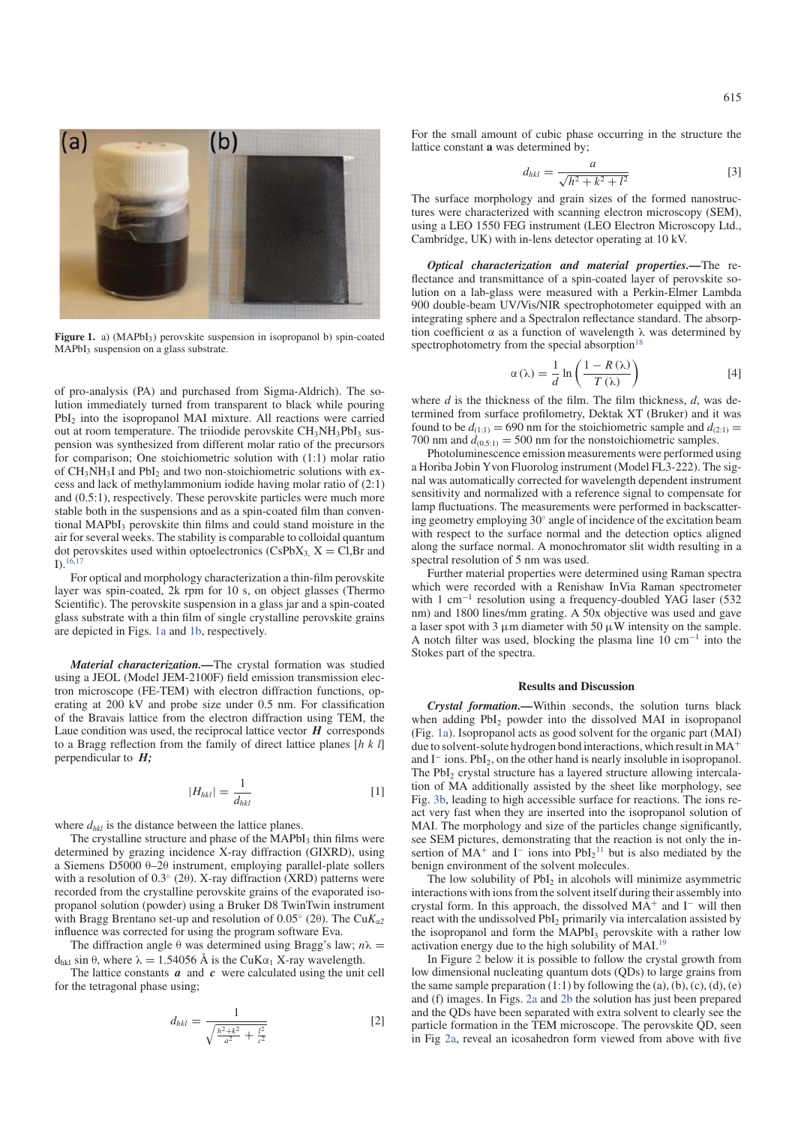

Figure 1. a) (MAPbI<sub>3</sub>) perovskite suspension in isopropanol b) spin-coated MAPbI<sub>2</sub> suspension on a glass substrate.

of pro-analysis (PA) and purchased from Sigma-Aldrich). The solution immediately turned from transparent to black while pouring PbI<sub>2</sub> into the isopropanol MAI mixture. All reactions were carried out at room temperature. The triiodide perovskite  $CH<sub>3</sub>NH<sub>3</sub>PbI<sub>3</sub>$  suspension was synthesized from different molar ratio of the precursors for comparison; One stoichiometric solution with (1:1) molar ratio of  $CH<sub>3</sub>NH<sub>3</sub>I$  and PbI<sub>2</sub> and two non-stoichiometric solutions with excess and lack of methylammonium iodide having molar ratio of (2:1) and (0.5:1), respectively. These perovskite particles were much more stable both in the suspensions and as a spin-coated film than conventional MAPbI<sub>3</sub> perovskite thin films and could stand moisture in the air for several weeks. The stability is comparable to colloidal quantum dot perovskites used within optoelectronics (CsPbX<sub>3,</sub> X = Cl,Br and  $I)$ .<sup>16,1</sup>

For optical and morphology characterization a thin-film perovskite layer was spin-coated, 2k rpm for 10 s, on object glasses (Thermo Scientific). The perovskite suspension in a glass jar and a spin-coated glass substrate with a thin film of single crystalline perovskite grains are depicted in Figs. 1a and 1b, respectively.

*Material characterization.—*The crystal formation was studied using a JEOL (Model JEM-2100F) field emission transmission electron microscope (FE-TEM) with electron diffraction functions, operating at 200 kV and probe size under 0.5 nm. For classification of the Bravais lattice from the electron diffraction using TEM, the Laue condition was used, the reciprocal lattice vector  $H$  corresponds to a Bragg reflection from the family of direct lattice planes [*hkl*] perpendicular to *H;*

$$
|H_{hkl}| = \frac{1}{d_{hkl}}\tag{1}
$$

where  $d_{hkl}$  is the distance between the lattice planes.

The crystalline structure and phase of the MAPbI<sub>3</sub> thin films were determined by grazing incidence X-ray diffraction (GIXRD), using a Siemens D5000 θ–2θ instrument, employing parallel-plate sollers with a resolution of  $0.3°$  (2 $\theta$ ). X-ray diffraction (XRD) patterns were recorded from the crystalline perovskite grains of the evaporated isopropanol solution (powder) using a Bruker D8 TwinTwin instrument with Bragg Brentano set-up and resolution of 0.05° (2θ). The Cu $K_{\alpha}$ <sub>2</sub> influence was corrected for using the program software Eva.

The diffraction angle  $\theta$  was determined using Bragg's law;  $n\lambda$  =  $d_{hkl}$  sin θ, where λ = 1.54056 Å is the CuKα<sub>1</sub> X-ray wavelength.

The lattice constants  $a$  and  $c$  were calculated using the unit cell for the tetragonal phase using;

$$
d_{hkl} = \frac{1}{\sqrt{\frac{h^2 + k^2}{a^2} + \frac{l^2}{c^2}}} \tag{2}
$$

For the small amount of cubic phase occurring in the structure the lattice constant **a** was determined by;

$$
d_{hkl} = \frac{a}{\sqrt{h^2 + k^2 + l^2}}
$$
 [3]

The surface morphology and grain sizes of the formed nanostructures were characterized with scanning electron microscopy (SEM), using a LEO 1550 FEG instrument (LEO Electron Microscopy Ltd., Cambridge, UK) with in-lens detector operating at 10 kV.

*Optical characterization and material properties.—*The reflectance and transmittance of a spin-coated layer of perovskite solution on a lab-glass were measured with a Perkin-Elmer Lambda 900 double-beam UV/Vis/NIR spectrophotometer equipped with an integrating sphere and a Spectralon reflectance standard. The absorption coefficient α as a function of wavelength  $λ$  was determined by spectrophotometry from the special absorption $18$ 

$$
\alpha(\lambda) = \frac{1}{d} \ln \left( \frac{1 - R(\lambda)}{T(\lambda)} \right)
$$
 [4]

where *d* is the thickness of the film. The film thickness, *d*, was determined from surface profilometry, Dektak XT (Bruker) and it was found to be  $d_{(1:1)} = 690$  nm for the stoichiometric sample and  $d_{(2:1)} =$ 700 nm and  $d_{(0.5:1)} = 500$  nm for the nonstoichiometric samples.

Photoluminescence emission measurements were performed using a Horiba Jobin Yvon Fluorolog instrument (Model FL3-222). The signal was automatically corrected for wavelength dependent instrument sensitivity and normalized with a reference signal to compensate for lamp fluctuations. The measurements were performed in backscattering geometry employing 30◦ angle of incidence of the excitation beam with respect to the surface normal and the detection optics aligned along the surface normal. A monochromator slit width resulting in a spectral resolution of 5 nm was used.

Further material properties were determined using Raman spectra which were recorded with a Renishaw InVia Raman spectrometer with 1 cm<sup>-1</sup> resolution using a frequency-doubled YAG laser (532 nm) and 1800 lines/mm grating. A 50x objective was used and gave a laser spot with 3  $\mu$ m diameter with 50  $\mu$ W intensity on the sample. A notch filter was used, blocking the plasma line 10 cm−<sup>1</sup> into the Stokes part of the spectra.

# **Results and Discussion**

*Crystal formation.—*Within seconds, the solution turns black when adding  $PbI_2$  powder into the dissolved MAI in isopropanol (Fig. 1a). Isopropanol acts as good solvent for the organic part (MAI) due to solvent-solute hydrogen bond interactions, which result in MA<sup>+</sup> and I<sup>−</sup> ions. PbI2, on the other hand is nearly insoluble in isopropanol. The PbI<sub>2</sub> crystal structure has a layered structure allowing intercalation of MA additionally assisted by the sheet like morphology, see Fig. 3b, leading to high accessible surface for reactions. The ions react very fast when they are inserted into the isopropanol solution of MAI. The morphology and size of the particles change significantly, see SEM pictures, demonstrating that the reaction is not only the insertion of  $MA^+$  and  $I^-$  ions into  $PbI_2^{11}$  but is also mediated by the benign environment of the solvent molecules.

The low solubility of  $PbI_2$  in alcohols will minimize asymmetric interactions with ions from the solvent itself during their assembly into crystal form. In this approach, the dissolved  $MA^+$  and  $I^-$  will then react with the undissolved PbI2 primarily via intercalation assisted by the isopropanol and form the  $MAPbI<sub>3</sub>$  perovskite with a rather low activation energy due to the high solubility of  $MAI<sup>19</sup>$ 

In Figure 2 below it is possible to follow the crystal growth from low dimensional nucleating quantum dots (QDs) to large grains from the same sample preparation  $(1:1)$  by following the (a), (b), (c), (d), (e) and (f) images. In Figs. 2a and 2b the solution has just been prepared and the QDs have been separated with extra solvent to clearly see the particle formation in the TEM microscope. The perovskite QD, seen in Fig 2a, reveal an icosahedron form viewed from above with five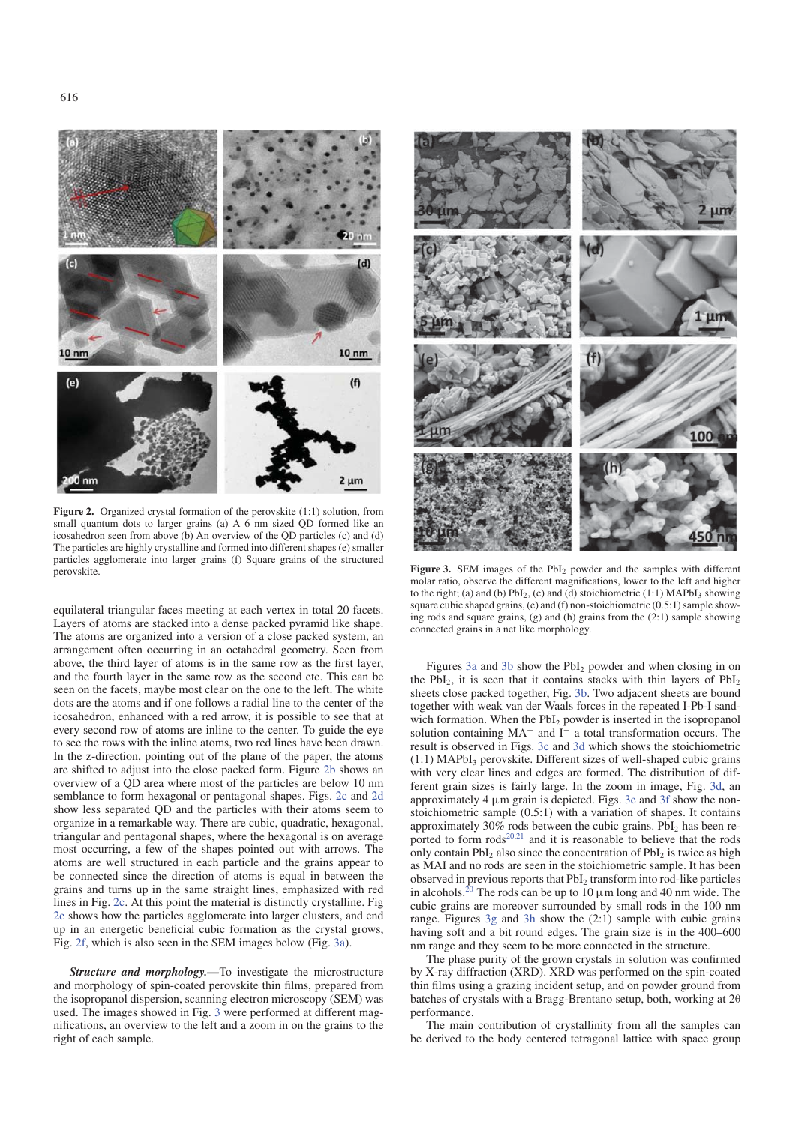

**Figure 2.** Organized crystal formation of the perovskite (1:1) solution, from small quantum dots to larger grains (a) A 6 nm sized QD formed like an icosahedron seen from above (b) An overview of the QD particles (c) and (d) The particles are highly crystalline and formed into different shapes (e) smaller particles agglomerate into larger grains (f) Square grains of the structured perovskite.

equilateral triangular faces meeting at each vertex in total 20 facets. Layers of atoms are stacked into a dense packed pyramid like shape. The atoms are organized into a version of a close packed system, an arrangement often occurring in an octahedral geometry. Seen from above, the third layer of atoms is in the same row as the first layer, and the fourth layer in the same row as the second etc. This can be seen on the facets, maybe most clear on the one to the left. The white dots are the atoms and if one follows a radial line to the center of the icosahedron, enhanced with a red arrow, it is possible to see that at every second row of atoms are inline to the center. To guide the eye to see the rows with the inline atoms, two red lines have been drawn. In the z-direction, pointing out of the plane of the paper, the atoms are shifted to adjust into the close packed form. Figure 2b shows an overview of a QD area where most of the particles are below 10 nm semblance to form hexagonal or pentagonal shapes. Figs. 2c and 2d show less separated QD and the particles with their atoms seem to organize in a remarkable way. There are cubic, quadratic, hexagonal, triangular and pentagonal shapes, where the hexagonal is on average most occurring, a few of the shapes pointed out with arrows. The atoms are well structured in each particle and the grains appear to be connected since the direction of atoms is equal in between the grains and turns up in the same straight lines, emphasized with red lines in Fig. 2c. At this point the material is distinctly crystalline. Fig 2e shows how the particles agglomerate into larger clusters, and end up in an energetic beneficial cubic formation as the crystal grows, Fig. 2f, which is also seen in the SEM images below (Fig. 3a).

*Structure and morphology.—*To investigate the microstructure and morphology of spin-coated perovskite thin films, prepared from the isopropanol dispersion, scanning electron microscopy (SEM) was used. The images showed in Fig. 3 were performed at different magnifications, an overview to the left and a zoom in on the grains to the right of each sample.



Figure 3. SEM images of the PbI<sub>2</sub> powder and the samples with different molar ratio, observe the different magnifications, lower to the left and higher to the right; (a) and (b)  $PbI_2$ , (c) and (d) stoichiometric (1:1) MAPbI<sub>3</sub> showing square cubic shaped grains, (e) and (f) non-stoichiometric (0.5:1) sample showing rods and square grains, (g) and (h) grains from the (2:1) sample showing connected grains in a net like morphology.

Figures 3a and 3b show the PbI<sub>2</sub> powder and when closing in on the  $PbI<sub>2</sub>$ , it is seen that it contains stacks with thin layers of  $PbI<sub>2</sub>$ sheets close packed together, Fig. 3b. Two adjacent sheets are bound together with weak van der Waals forces in the repeated I-Pb-I sandwich formation. When the  $PbI_2$  powder is inserted in the isopropanol solution containing MA<sup>+</sup> and I<sup>−</sup> a total transformation occurs. The result is observed in Figs. 3c and 3d which shows the stoichiometric  $(1:1)$  MAPbI<sub>3</sub> perovskite. Different sizes of well-shaped cubic grains with very clear lines and edges are formed. The distribution of different grain sizes is fairly large. In the zoom in image, Fig. 3d, an approximately 4 μm grain is depicted. Figs. 3e and 3f show the nonstoichiometric sample (0.5:1) with a variation of shapes. It contains approximately 30% rods between the cubic grains.  $PbI<sub>2</sub>$  has been reported to form  $\text{rods}^{20,21}$  and it is reasonable to believe that the rods only contain  $PbI_2$  also since the concentration of  $PbI_2$  is twice as high as MAI and no rods are seen in the stoichiometric sample. It has been observed in previous reports that PbI<sub>2</sub> transform into rod-like particles in alcohols.<sup>20</sup> The rods can be up to 10  $\mu$ m long and 40 nm wide. The cubic grains are moreover surrounded by small rods in the 100 nm range. Figures 3g and 3h show the (2:1) sample with cubic grains having soft and a bit round edges. The grain size is in the 400–600 nm range and they seem to be more connected in the structure.

The phase purity of the grown crystals in solution was confirmed by X-ray diffraction (XRD). XRD was performed on the spin-coated thin films using a grazing incident setup, and on powder ground from batches of crystals with a Bragg-Brentano setup, both, working at 2θ performance.

The main contribution of crystallinity from all the samples can be derived to the body centered tetragonal lattice with space group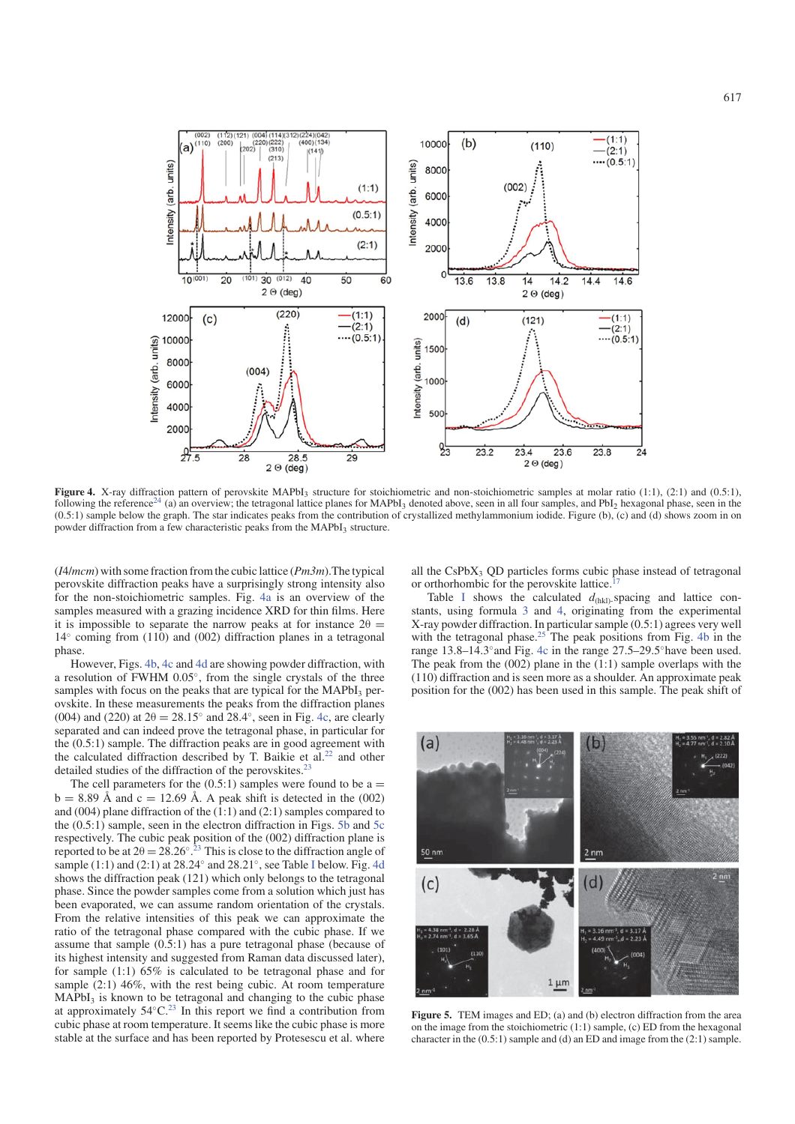

**Figure 4.** X-ray diffraction pattern of perovskite MAPbI<sub>3</sub> structure for stoichiometric and non-stoichiometric samples at molar ratio (1:1), (2:1) and (0.5:1), following the reference<sup>24</sup> (a) an overview; the tetragonal lattice planes for MAPbI<sub>3</sub> denoted above, seen in all four samples, and PbI<sub>2</sub> hexagonal phase, seen in the (0.5:1) sample below the graph. The star indicates peaks from the contribution of crystallized methylammonium iodide. Figure (b), (c) and (d) shows zoom in on powder diffraction from a few characteristic peaks from the MAPbI<sub>3</sub> structure.

(*I*4/*mcm*) with some fraction from the cubic lattice (*Pm3m*).The typical perovskite diffraction peaks have a surprisingly strong intensity also for the non-stoichiometric samples. Fig. 4a is an overview of the samples measured with a grazing incidence XRD for thin films. Here it is impossible to separate the narrow peaks at for instance  $2\theta =$  $14°$  coming from (110) and (002) diffraction planes in a tetragonal phase.

However, Figs. 4b, 4c and 4d are showing powder diffraction, with a resolution of FWHM 0.05◦, from the single crystals of the three samples with focus on the peaks that are typical for the MAPbI<sub>3</sub> perovskite. In these measurements the peaks from the diffraction planes (004) and (220) at  $2\theta = 28.15^\circ$  and  $28.4^\circ$ , seen in Fig. 4c, are clearly separated and can indeed prove the tetragonal phase, in particular for the (0.5:1) sample. The diffraction peaks are in good agreement with the calculated diffraction described by T. Baikie et al.<sup>22</sup> and other detailed studies of the diffraction of the perovskites.<sup>23</sup>

The cell parameters for the  $(0.5:1)$  samples were found to be a =  $b = 8.89$  Å and  $c = 12.69$  Å. A peak shift is detected in the (002) and (004) plane diffraction of the (1:1) and (2:1) samples compared to the (0.5:1) sample, seen in the electron diffraction in Figs. 5b and 5c respectively. The cubic peak position of the (002) diffraction plane is reported to be at  $2\theta = 28.26^{\circ}$ .<sup>23</sup> This is close to the diffraction angle of sample (1:1) and (2:1) at  $28.24°$  and  $28.21°$ , see Table I below. Fig. 4d shows the diffraction peak (121) which only belongs to the tetragonal phase. Since the powder samples come from a solution which just has been evaporated, we can assume random orientation of the crystals. From the relative intensities of this peak we can approximate the ratio of the tetragonal phase compared with the cubic phase. If we assume that sample (0.5:1) has a pure tetragonal phase (because of its highest intensity and suggested from Raman data discussed later), for sample (1:1) 65% is calculated to be tetragonal phase and for sample (2:1) 46%, with the rest being cubic. At room temperature MAPbI<sub>3</sub> is known to be tetragonal and changing to the cubic phase at approximately  $54°C<sup>23</sup>$  In this report we find a contribution from cubic phase at room temperature. It seems like the cubic phase is more stable at the surface and has been reported by Protesescu et al. where

all the CsPbX3 QD particles forms cubic phase instead of tetragonal or orthorhombic for the perovskite lattice.

Table I shows the calculated  $d_{\text{(hkl)}}$ -spacing and lattice constants, using formula 3 and 4, originating from the experimental X-ray powder diffraction. In particular sample (0.5:1) agrees very well with the tetragonal phase.<sup>25</sup> The peak positions from Fig. 4b in the range 13.8–14.3◦and Fig. 4c in the range 27.5–29.5◦have been used. The peak from the  $(002)$  plane in the  $(1:1)$  sample overlaps with the (110) diffraction and is seen more as a shoulder. An approximate peak position for the (002) has been used in this sample. The peak shift of



**Figure 5.** TEM images and ED; (a) and (b) electron diffraction from the area on the image from the stoichiometric (1:1) sample, (c) ED from the hexagonal character in the (0.5:1) sample and (d) an ED and image from the (2:1) sample.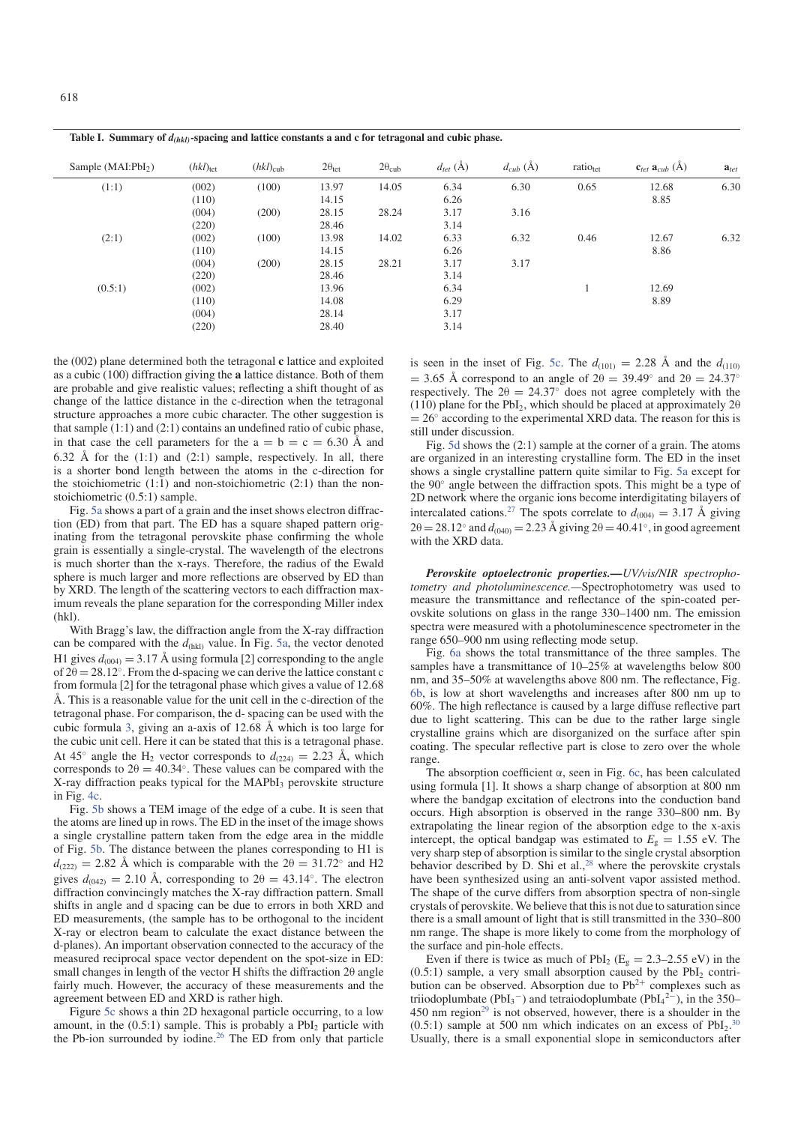$S$ ample (MAI:PbI<sub>2</sub>) (*hkl*)<sub>tet</sub> (*hkl*)<sub>cub</sub>  $2\theta_{\text{tet}}$   $2\theta_{\text{cub}}$  *d<sub>cet</sub>* (Å)  $d_{\text{cub}}$  (Å) **a**<sub>*tet*</sub> **a**<sub>*cub*</sub> (Å) **a**<sub>*tet*</sub> (1:1) (002) (100) 13.97 14.05 6.34 6.30 0.65 12.68 6.30  $(110)$  14.15 6.26 8.85 (004) (200) 28.15 28.24 3.17 3.16 (220) 28.46 3.14 (2:1) (002) (100) 13.98 14.02 6.33 6.32 0.46 12.67 6.32  $(110)$  14.15 6.26 8.86 (004) (200) 28.15 28.21 3.17 3.17 (220) 28.46 3.14  $(0.5:1)$   $(0.02)$   $13.96$   $6.34$  1  $12.69$  $(110)$  14.08 6.29 8.89 (004) 28.14 3.17 (220) 28.40 3.14

**Table I. Summary of** *d(hkl)***-spacing and lattice constants a and c for tetragonal and cubic phase.**

the (002) plane determined both the tetragonal **c** lattice and exploited as a cubic (100) diffraction giving the **a** lattice distance. Both of them are probable and give realistic values; reflecting a shift thought of as change of the lattice distance in the c-direction when the tetragonal structure approaches a more cubic character. The other suggestion is that sample (1:1) and (2:1) contains an undefined ratio of cubic phase, in that case the cell parameters for the  $a = b = c = 6.30$  Å and 6.32 Å for the  $(1:1)$  and  $(2:1)$  sample, respectively. In all, there is a shorter bond length between the atoms in the c-direction for the stoichiometric  $(1:1)$  and non-stoichiometric  $(2:1)$  than the nonstoichiometric (0.5:1) sample.

Fig. 5a shows a part of a grain and the inset shows electron diffraction (ED) from that part. The ED has a square shaped pattern originating from the tetragonal perovskite phase confirming the whole grain is essentially a single-crystal. The wavelength of the electrons is much shorter than the x-rays. Therefore, the radius of the Ewald sphere is much larger and more reflections are observed by ED than by XRD. The length of the scattering vectors to each diffraction maximum reveals the plane separation for the corresponding Miller index (hkl).

With Bragg's law, the diffraction angle from the X-ray diffraction can be compared with the  $d_{\text{(hkl)}}$  value. In Fig. 5a, the vector denoted H1 gives  $d_{(004)} = 3.17$  Å using formula [2] corresponding to the angle of  $2\theta = 28.12^\circ$ . From the d-spacing we can derive the lattice constant c from formula [2] for the tetragonal phase which gives a value of 12.68 Å. This is a reasonable value for the unit cell in the c-direction of the tetragonal phase. For comparison, the d- spacing can be used with the cubic formula 3, giving an a-axis of 12.68 Å which is too large for the cubic unit cell. Here it can be stated that this is a tetragonal phase. At 45<sup>°</sup> angle the H<sub>2</sub> vector corresponds to  $d_{(224)} = 2.23$  Å, which corresponds to  $2\theta = 40.34^\circ$ . These values can be compared with the X-ray diffraction peaks typical for the MAPbI<sub>3</sub> perovskite structure in Fig. 4c.

Fig. 5b shows a TEM image of the edge of a cube. It is seen that the atoms are lined up in rows. The ED in the inset of the image shows a single crystalline pattern taken from the edge area in the middle of Fig. 5b. The distance between the planes corresponding to H1 is  $d_{(222)} = 2.82$  Å which is comparable with the  $2\theta = 31.72°$  and H2 gives  $d_{(042)} = 2.10$  Å, corresponding to  $2\theta = 43.14^\circ$ . The electron diffraction convincingly matches the X-ray diffraction pattern. Small shifts in angle and d spacing can be due to errors in both XRD and ED measurements, (the sample has to be orthogonal to the incident X-ray or electron beam to calculate the exact distance between the d-planes). An important observation connected to the accuracy of the measured reciprocal space vector dependent on the spot-size in ED: small changes in length of the vector H shifts the diffraction 2θ angle fairly much. However, the accuracy of these measurements and the agreement between ED and XRD is rather high.

Figure 5c shows a thin 2D hexagonal particle occurring, to a low amount, in the  $(0.5:1)$  sample. This is probably a PbI<sub>2</sub> particle with the Pb-ion surrounded by iodine.<sup>26</sup> The ED from only that particle is seen in the inset of Fig. 5c. The  $d_{(101)} = 2.28$  Å and the  $d_{(110)}$  $= 3.65$  Å correspond to an angle of  $2\theta = 39.49°$  and  $2\theta = 24.37°$ respectively. The  $2\theta = 24.37^{\circ}$  does not agree completely with the (110) plane for the PbI<sub>2</sub>, which should be placed at approximately  $2\theta$  $= 26°$  according to the experimental XRD data. The reason for this is still under discussion.

Fig. 5d shows the (2:1) sample at the corner of a grain. The atoms are organized in an interesting crystalline form. The ED in the inset shows a single crystalline pattern quite similar to Fig. 5a except for the 90◦ angle between the diffraction spots. This might be a type of 2D network where the organic ions become interdigitating bilayers of intercalated cations.<sup>27</sup> The spots correlate to  $d_{(004)} = 3.17 \text{ Å}$  giving  $2\theta = 28.12°$  and  $d_{(040)} = 2.23$  Å giving  $2\theta = 40.41°$ , in good agreement with the XRD data.

*Perovskite optoelectronic properties.—UV/vis/NIR spectrophotometry and photoluminescence.—*Spectrophotometry was used to measure the transmittance and reflectance of the spin-coated perovskite solutions on glass in the range 330–1400 nm. The emission spectra were measured with a photoluminescence spectrometer in the range 650–900 nm using reflecting mode setup.

Fig. 6a shows the total transmittance of the three samples. The samples have a transmittance of 10–25% at wavelengths below 800 nm, and 35–50% at wavelengths above 800 nm. The reflectance, Fig. 6b, is low at short wavelengths and increases after 800 nm up to 60%. The high reflectance is caused by a large diffuse reflective part due to light scattering. This can be due to the rather large single crystalline grains which are disorganized on the surface after spin coating. The specular reflective part is close to zero over the whole range.

The absorption coefficient  $\alpha$ , seen in Fig. 6c, has been calculated using formula [1]. It shows a sharp change of absorption at 800 nm where the bandgap excitation of electrons into the conduction band occurs. High absorption is observed in the range 330–800 nm. By extrapolating the linear region of the absorption edge to the x-axis intercept, the optical bandgap was estimated to  $E<sub>g</sub> = 1.55$  eV. The very sharp step of absorption is similar to the single crystal absorption behavior described by D. Shi et al.,<sup>28</sup> where the perovskite crystals have been synthesized using an anti-solvent vapor assisted method. The shape of the curve differs from absorption spectra of non-single crystals of perovskite. We believe that this is not due to saturation since there is a small amount of light that is still transmitted in the 330–800 nm range. The shape is more likely to come from the morphology of the surface and pin-hole effects.

Even if there is twice as much of  $PbI_2$  (E<sub>g</sub> = 2.3–2.55 eV) in the  $(0.5:1)$  sample, a very small absorption caused by the PbI<sub>2</sub> contribution can be observed. Absorption due to  $Pb^{2+}$  complexes such as triiodoplumbate (PbI<sub>3</sub><sup>-</sup>) and tetraiodoplumbate (PbI<sub>4</sub><sup>2-</sup>), in the 350–  $450$  nm region<sup>29</sup> is not observed, however, there is a shoulder in the  $(0.5.1)$  sample at 500 nm which indicates on an excess of  $PbI<sub>2</sub>$ .<sup>30</sup> Usually, there is a small exponential slope in semiconductors after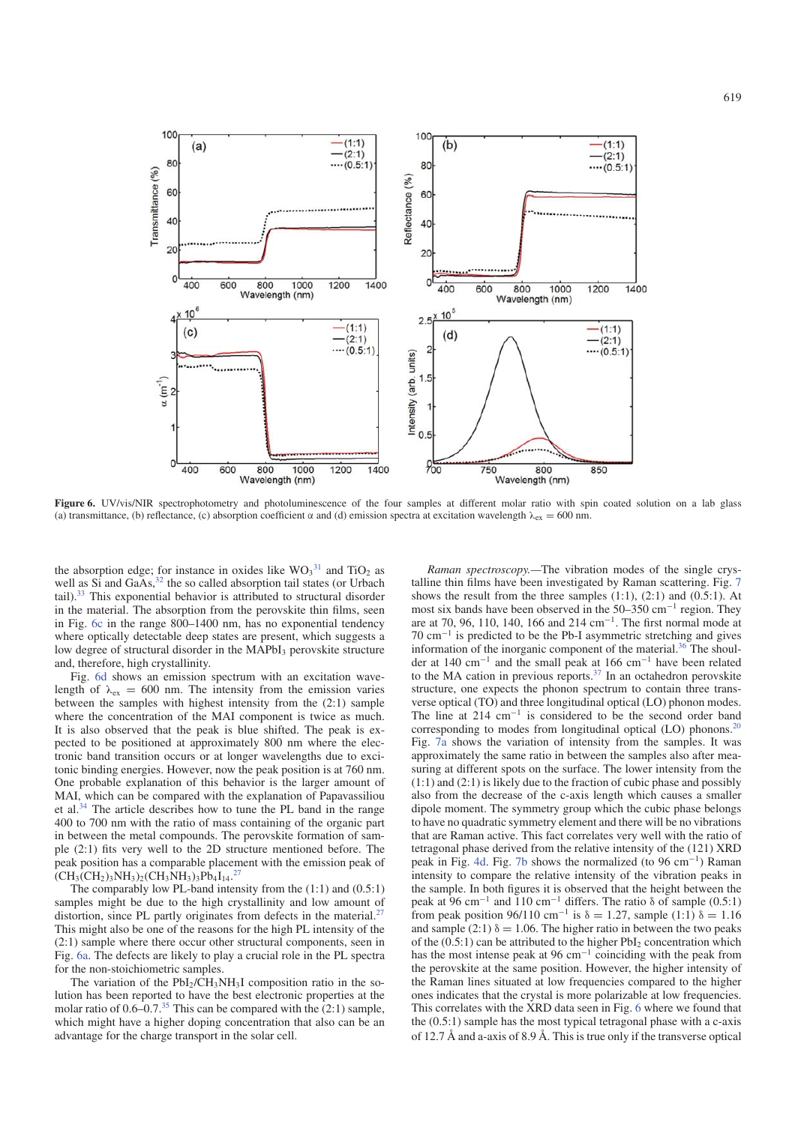

Figure 6. UV/vis/NIR spectrophotometry and photoluminescence of the four samples at different molar ratio with spin coated solution on a lab glass (a) transmittance, (b) reflectance, (c) absorption coefficient  $\alpha$  and (d) emission spectra at excitation wavelength  $\lambda_{ex} = 600$  nm.

the absorption edge; for instance in oxides like  $WO_3^{31}$  and  $TiO_2$  as well as Si and GaAs, $32$  the so called absorption tail states (or Urbach tail).33 This exponential behavior is attributed to structural disorder in the material. The absorption from the perovskite thin films, seen in Fig. 6c in the range 800–1400 nm, has no exponential tendency where optically detectable deep states are present, which suggests a low degree of structural disorder in the MAPbI<sub>3</sub> perovskite structure and, therefore, high crystallinity.

Fig. 6d shows an emission spectrum with an excitation wavelength of  $\lambda_{\rm ex} = 600$  nm. The intensity from the emission varies between the samples with highest intensity from the (2:1) sample where the concentration of the MAI component is twice as much. It is also observed that the peak is blue shifted. The peak is expected to be positioned at approximately 800 nm where the electronic band transition occurs or at longer wavelengths due to excitonic binding energies. However, now the peak position is at 760 nm. One probable explanation of this behavior is the larger amount of MAI, which can be compared with the explanation of Papavassiliou et al.34 The article describes how to tune the PL band in the range 400 to 700 nm with the ratio of mass containing of the organic part in between the metal compounds. The perovskite formation of sample (2:1) fits very well to the 2D structure mentioned before. The peak position has a comparable placement with the emission peak of  $\overline{\text{CH}_3\text{CH}_2}$ )<sub>3</sub>NH<sub>3</sub>)<sub>2</sub>(CH<sub>3</sub>NH<sub>3</sub>)<sub>3</sub>Pb<sub>4</sub>I<sub>14</sub>.<sup>27</sup>

The comparably low PL-band intensity from the (1:1) and (0.5:1) samples might be due to the high crystallinity and low amount of distortion, since PL partly originates from defects in the material.<sup>27</sup> This might also be one of the reasons for the high PL intensity of the (2:1) sample where there occur other structural components, seen in Fig. 6a. The defects are likely to play a crucial role in the PL spectra for the non-stoichiometric samples.

The variation of the  $PbI_2/CH_3NH_3I$  composition ratio in the solution has been reported to have the best electronic properties at the molar ratio of  $0.6-0.7^{35}$  This can be compared with the  $(2:1)$  sample, which might have a higher doping concentration that also can be an advantage for the charge transport in the solar cell.

*Raman spectroscopy.—*The vibration modes of the single crystalline thin films have been investigated by Raman scattering. Fig. 7 shows the result from the three samples  $(1:1)$ ,  $(2:1)$  and  $(0.5:1)$ . At most six bands have been observed in the 50–350 cm−<sup>1</sup> region. They are at 70, 96, 110, 140, 166 and 214 cm<sup>-1</sup>. The first normal mode at 70 cm−<sup>1</sup> is predicted to be the Pb-I asymmetric stretching and gives information of the inorganic component of the material.36 The shoulder at 140 cm−<sup>1</sup> and the small peak at 166 cm−<sup>1</sup> have been related to the MA cation in previous reports. $37$  In an octahedron perovskite structure, one expects the phonon spectrum to contain three transverse optical (TO) and three longitudinal optical (LO) phonon modes. The line at  $214 \text{ cm}^{-1}$  is considered to be the second order band corresponding to modes from longitudinal optical  $(LO)$  phonons.<sup>20</sup> Fig. 7a shows the variation of intensity from the samples. It was approximately the same ratio in between the samples also after measuring at different spots on the surface. The lower intensity from the (1:1) and (2:1) is likely due to the fraction of cubic phase and possibly also from the decrease of the c-axis length which causes a smaller dipole moment. The symmetry group which the cubic phase belongs to have no quadratic symmetry element and there will be no vibrations that are Raman active. This fact correlates very well with the ratio of tetragonal phase derived from the relative intensity of the (121) XRD peak in Fig. 4d. Fig. 7b shows the normalized (to 96 cm−1) Raman intensity to compare the relative intensity of the vibration peaks in the sample. In both figures it is observed that the height between the peak at 96 cm<sup>-1</sup> and 110 cm<sup>-1</sup> differs. The ratio  $\delta$  of sample (0.5:1) from peak position 96/110 cm<sup>-1</sup> is  $\delta = 1.27$ , sample (1:1)  $\delta = 1.16$ and sample (2:1)  $\delta = 1.06$ . The higher ratio in between the two peaks of the  $(0.5:1)$  can be attributed to the higher  $PbI_2$  concentration which has the most intense peak at 96 cm−<sup>1</sup> coinciding with the peak from the perovskite at the same position. However, the higher intensity of the Raman lines situated at low frequencies compared to the higher ones indicates that the crystal is more polarizable at low frequencies. This correlates with the XRD data seen in Fig. 6 where we found that the (0.5:1) sample has the most typical tetragonal phase with a c-axis of 12.7 Å and a-axis of 8.9 Å. This is true only if the transverse optical